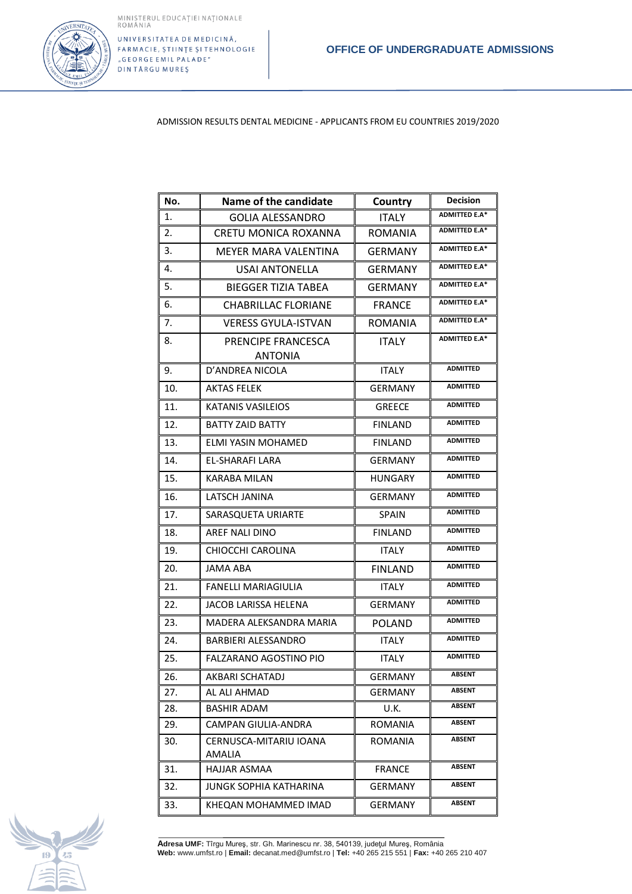

UNIVERSITATEA DE MEDICINĂ, FARMACIE, ȘTIINȚE ȘI TEHNOLOGIE "GEORGE EMIL PALADE" DINTÂRGU MUREȘ

ADMISSION RESULTS DENTAL MEDICINE - APPLICANTS FROM EU COUNTRIES 2019/2020

| No. | Name of the candidate                   | Country        | <b>Decision</b>      |
|-----|-----------------------------------------|----------------|----------------------|
| 1.  | <b>GOLIA ALESSANDRO</b>                 | ITALY          | <b>ADMITTED E.A*</b> |
| 2.  | CRETU MONICA ROXANNA                    | <b>ROMANIA</b> | <b>ADMITTED E.A*</b> |
| 3.  | MEYER MARA VALENTINA                    | GERMANY        | <b>ADMITTED E.A*</b> |
| 4.  | USAI ANTONELLA                          | <b>GERMANY</b> | <b>ADMITTED E.A*</b> |
| 5.  | <b>BIEGGER TIZIA TABEA</b>              | <b>GERMANY</b> | <b>ADMITTED E.A*</b> |
| 6.  | <b>CHABRILLAC FLORIANE</b>              | <b>FRANCE</b>  | <b>ADMITTED E.A*</b> |
| 7.  | <b>VERESS GYULA-ISTVAN</b>              | <b>ROMANIA</b> | <b>ADMITTED E.A*</b> |
| 8.  | PRENCIPE FRANCESCA<br><b>ANTONIA</b>    | <b>ITALY</b>   | <b>ADMITTED E.A*</b> |
| 9.  | D'ANDREA NICOLA                         | <b>ITALY</b>   | <b>ADMITTED</b>      |
| 10. | AKTAS FELEK                             | <b>GERMANY</b> | <b>ADMITTED</b>      |
| 11. | KATANIS VASILEIOS                       | <b>GREECE</b>  | <b>ADMITTED</b>      |
| 12. | <b>BATTY ZAID BATTY</b>                 | <b>FINLAND</b> | <b>ADMITTED</b>      |
| 13. | ELMI YASIN MOHAMED                      | <b>FINLAND</b> | <b>ADMITTED</b>      |
| 14. | EL-SHARAFI LARA                         | <b>GERMANY</b> | <b>ADMITTED</b>      |
| 15. | <b>KARABA MILAN</b>                     | <b>HUNGARY</b> | <b>ADMITTED</b>      |
| 16. | LATSCH JANINA                           | <b>GERMANY</b> | <b>ADMITTED</b>      |
| 17. | SARASQUETA URIARTE                      | SPAIN          | <b>ADMITTED</b>      |
| 18. | AREF NALI DINO                          | <b>FINLAND</b> | <b>ADMITTED</b>      |
| 19. | CHIOCCHI CAROLINA                       | <b>ITALY</b>   | <b>ADMITTED</b>      |
| 20. | JAMA ABA                                | <b>FINLAND</b> | <b>ADMITTED</b>      |
| 21. | <b>FANELLI MARIAGIULIA</b>              | <b>ITALY</b>   | <b>ADMITTED</b>      |
| 22. | JACOB LARISSA HELENA                    | <b>GERMANY</b> | <b>ADMITTED</b>      |
| 23. | MADERA ALEKSANDRA MARIA                 | <b>POLAND</b>  | <b>ADMITTED</b>      |
| 24. | BARBIERI ALESSANDRO                     | <b>ITALY</b>   | <b>ADMITTED</b>      |
| 25. | FALZARANO AGOSTINO PIO                  | <b>ITALY</b>   | <b>ADMITTED</b>      |
| 26. | AKBARI SCHATADJ                         | GERMANY        | ABSENT               |
| 27. | AL ALI AHMAD                            | GERMANY        | ABSENT               |
| 28. | BASHIR ADAM                             | U.K.           | ABSENT               |
| 29. | CAMPAN GIULIA-ANDRA                     | ROMANIA        | <b>ABSENT</b>        |
| 30. | CERNUSCA-MITARIU IOANA<br><b>AMALIA</b> | ROMANIA        | <b>ABSENT</b>        |
| 31. | HAJJAR ASMAA                            | <b>FRANCE</b>  | <b>ABSENT</b>        |
| 32. | JUNGK SOPHIA KATHARINA                  | GERMANY        | <b>ABSENT</b>        |
| 33. | KHEQAN MOHAMMED IMAD                    | <b>GERMANY</b> | <b>ABSENT</b>        |



**Adresa UMF:** Tîrgu Mureş, str. Gh. Marinescu nr. 38, 540139, judeţul Mureş, România **Web:** www.umfst.ro | **Email:** decanat.med@umfst.ro | **Tel:** +40 265 215 551 | **Fax:** +40 265 210 407